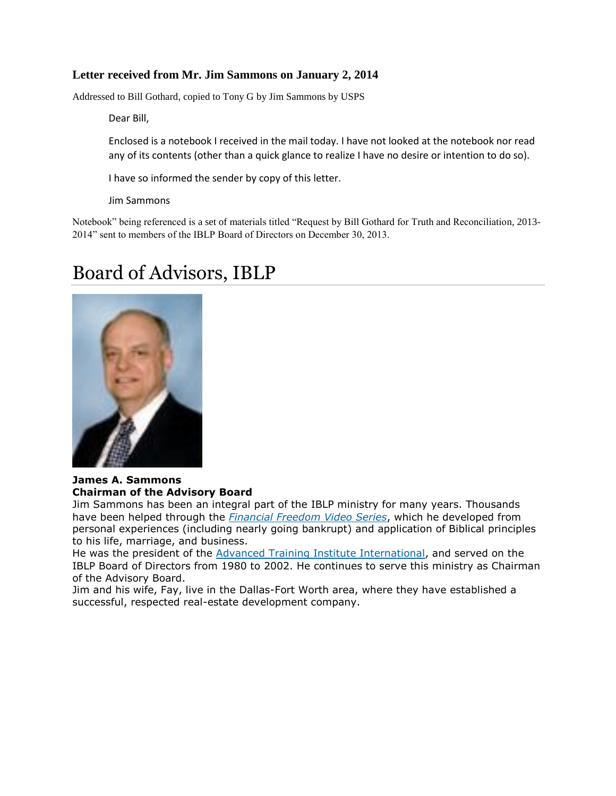# **Letter received from Mr. Jim Sammons on January 2, 2014**

Addressed to Bill Gothard, copied to Tony G by Jim Sammons by USPS

Dear Bill,

Enclosed is a notebook I received in the mail today. I have not looked at the notebook nor read any of its contents (other than a quick glance to realize I have no desire or intention to do so).

I have so informed the sender by copy of this letter.

Jim Sammons

Notebook" being referenced is a set of materials titled "Request by Bill Gothard for Truth and Reconciliation, 2013- 2014" sent to members of the IBLP Board of Directors on December 30, 2013.

# Board of Advisors, IBLP



## **James A. Sammons Chairman of the Advisory Board**

Jim Sammons has been an integral part of the IBLP ministry for many years. Thousands have been helped through the *Financial [Freedom](http://iblp.org/seminars-conferences/financial-freedom-seminar) Video Series*, which he developed from personal experiences (including nearly going bankrupt) and application of Biblical principles to his life, marriage, and business.

He was the president of the Advanced Training Institute [International,](http://ati.iblp.org/) and served on the IBLP Board of Directors from 1980 to 2002. He continues to serve this ministry as Chairman of the Advisory Board.

Jim and his wife, Fay, live in the Dallas-Fort Worth area, where they have established a successful, respected real-estate development company.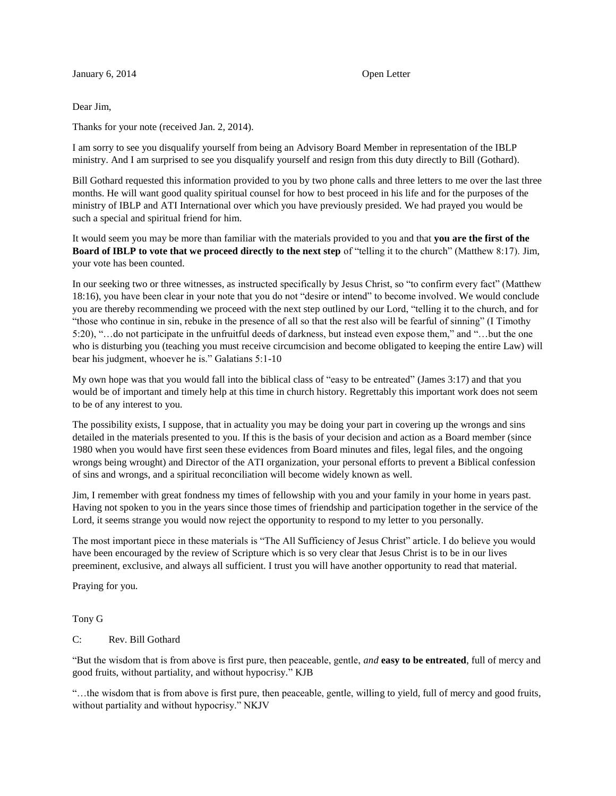#### January 6, 2014 **Open Letter**

#### Dear Jim,

Thanks for your note (received Jan. 2, 2014).

I am sorry to see you disqualify yourself from being an Advisory Board Member in representation of the IBLP ministry. And I am surprised to see you disqualify yourself and resign from this duty directly to Bill (Gothard).

Bill Gothard requested this information provided to you by two phone calls and three letters to me over the last three months. He will want good quality spiritual counsel for how to best proceed in his life and for the purposes of the ministry of IBLP and ATI International over which you have previously presided. We had prayed you would be such a special and spiritual friend for him.

It would seem you may be more than familiar with the materials provided to you and that **you are the first of the Board of IBLP to vote that we proceed directly to the next step** of "telling it to the church" (Matthew 8:17). Jim, your vote has been counted.

In our seeking two or three witnesses, as instructed specifically by Jesus Christ, so "to confirm every fact" (Matthew 18:16), you have been clear in your note that you do not "desire or intend" to become involved. We would conclude you are thereby recommending we proceed with the next step outlined by our Lord, "telling it to the church, and for "those who continue in sin, rebuke in the presence of all so that the rest also will be fearful of sinning" (I Timothy 5:20), "…do not participate in the unfruitful deeds of darkness, but instead even expose them," and "…but the one who is disturbing you (teaching you must receive circumcision and become obligated to keeping the entire Law) will bear his judgment, whoever he is." Galatians 5:1-10

My own hope was that you would fall into the biblical class of "easy to be entreated" (James 3:17) and that you would be of important and timely help at this time in church history. Regrettably this important work does not seem to be of any interest to you.

The possibility exists, I suppose, that in actuality you may be doing your part in covering up the wrongs and sins detailed in the materials presented to you. If this is the basis of your decision and action as a Board member (since 1980 when you would have first seen these evidences from Board minutes and files, legal files, and the ongoing wrongs being wrought) and Director of the ATI organization, your personal efforts to prevent a Biblical confession of sins and wrongs, and a spiritual reconciliation will become widely known as well.

Jim, I remember with great fondness my times of fellowship with you and your family in your home in years past. Having not spoken to you in the years since those times of friendship and participation together in the service of the Lord, it seems strange you would now reject the opportunity to respond to my letter to you personally.

The most important piece in these materials is "The All Sufficiency of Jesus Christ" article. I do believe you would have been encouraged by the review of Scripture which is so very clear that Jesus Christ is to be in our lives preeminent, exclusive, and always all sufficient. I trust you will have another opportunity to read that material.

Praying for you.

Tony G

### C: Rev. Bill Gothard

"But the wisdom that is from above is first pure, then peaceable, gentle, *and* **easy to be entreated**, full of mercy and good fruits, without partiality, and without hypocrisy." KJB

"…the wisdom that is from above is first pure, then peaceable, gentle, willing to yield, full of mercy and good fruits, without partiality and without hypocrisy." NKJV